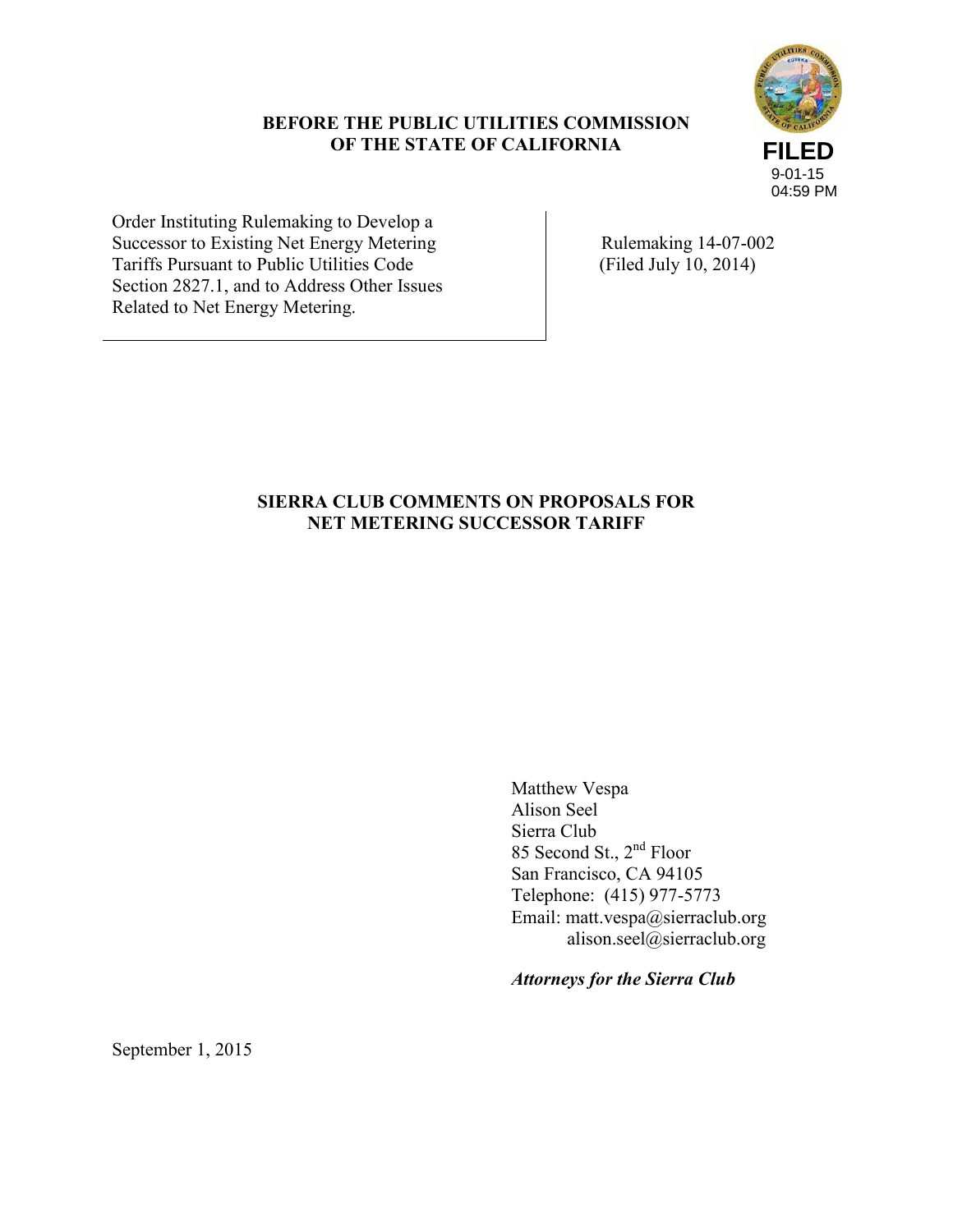## **BEFORE THE PUBLIC UTILITIES COMMISSION OF THE STATE OF CALIFORNIA**



Order Instituting Rulemaking to Develop a Successor to Existing Net Energy Metering Tariffs Pursuant to Public Utilities Code Section 2827.1, and to Address Other Issues Related to Net Energy Metering.

 Rulemaking 14-07-002 (Filed July 10, 2014)

# **SIERRA CLUB COMMENTS ON PROPOSALS FOR NET METERING SUCCESSOR TARIFF**

Matthew Vespa Alison Seel Sierra Club 85 Second St., 2nd Floor San Francisco, CA 94105 Telephone: (415) 977-5773 Email: matt.vespa@sierraclub.org alison.seel@sierraclub.org

*Attorneys for the Sierra Club*

September 1, 2015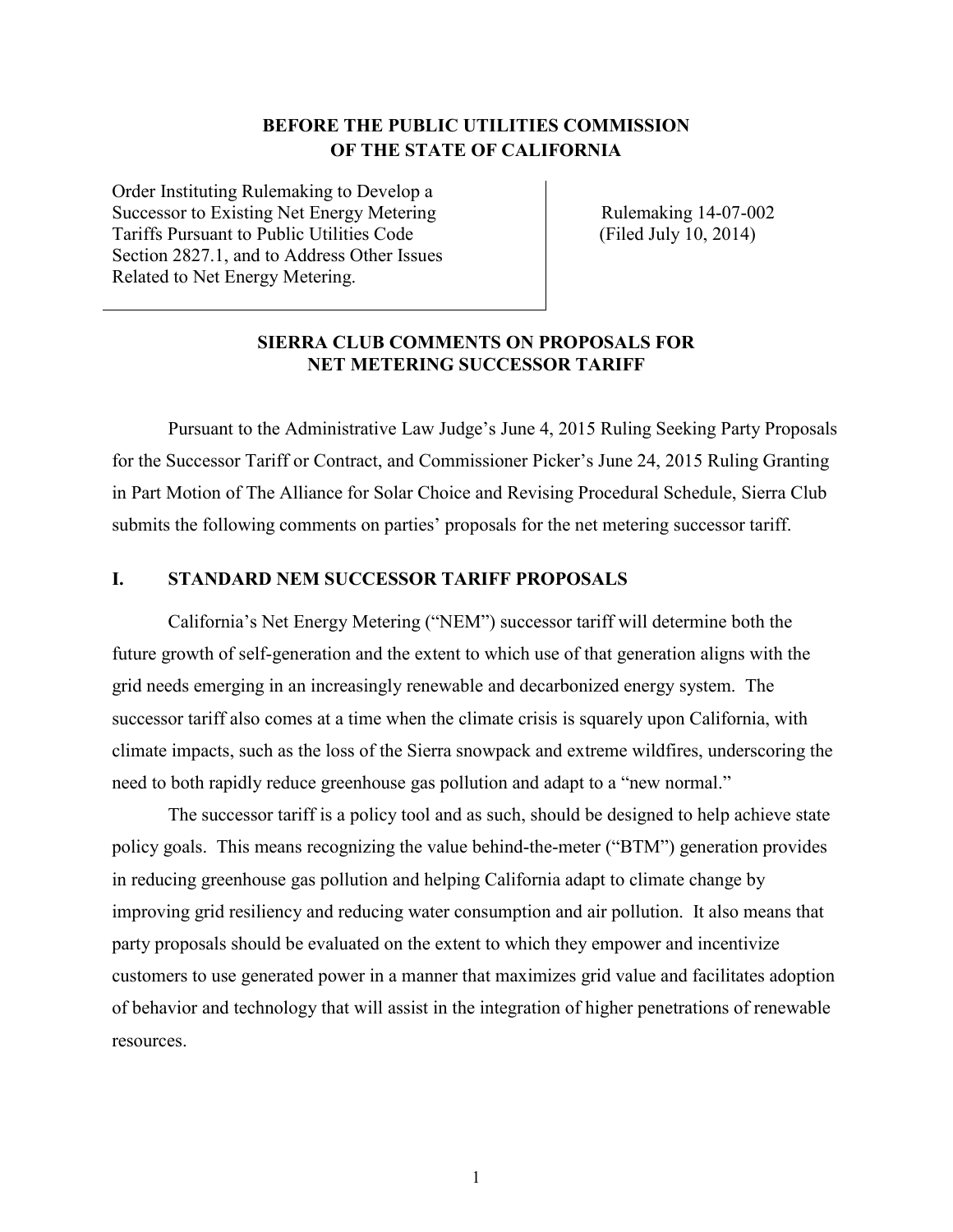# **BEFORE THE PUBLIC UTILITIES COMMISSION OF THE STATE OF CALIFORNIA**

Order Instituting Rulemaking to Develop a Successor to Existing Net Energy Metering Tariffs Pursuant to Public Utilities Code Section 2827.1, and to Address Other Issues Related to Net Energy Metering.

 Rulemaking 14-07-002 (Filed July 10, 2014)

## **SIERRA CLUB COMMENTS ON PROPOSALS FOR NET METERING SUCCESSOR TARIFF**

Pursuant to the Administrative Law Judge's June 4, 2015 Ruling Seeking Party Proposals for the Successor Tariff or Contract, and Commissioner Picker's June 24, 2015 Ruling Granting in Part Motion of The Alliance for Solar Choice and Revising Procedural Schedule, Sierra Club submits the following comments on parties' proposals for the net metering successor tariff.

#### **I. STANDARD NEM SUCCESSOR TARIFF PROPOSALS**

California's Net Energy Metering ("NEM") successor tariff will determine both the future growth of self-generation and the extent to which use of that generation aligns with the grid needs emerging in an increasingly renewable and decarbonized energy system. The successor tariff also comes at a time when the climate crisis is squarely upon California, with climate impacts, such as the loss of the Sierra snowpack and extreme wildfires, underscoring the need to both rapidly reduce greenhouse gas pollution and adapt to a "new normal."

The successor tariff is a policy tool and as such, should be designed to help achieve state policy goals. This means recognizing the value behind-the-meter ("BTM") generation provides in reducing greenhouse gas pollution and helping California adapt to climate change by improving grid resiliency and reducing water consumption and air pollution. It also means that party proposals should be evaluated on the extent to which they empower and incentivize customers to use generated power in a manner that maximizes grid value and facilitates adoption of behavior and technology that will assist in the integration of higher penetrations of renewable resources.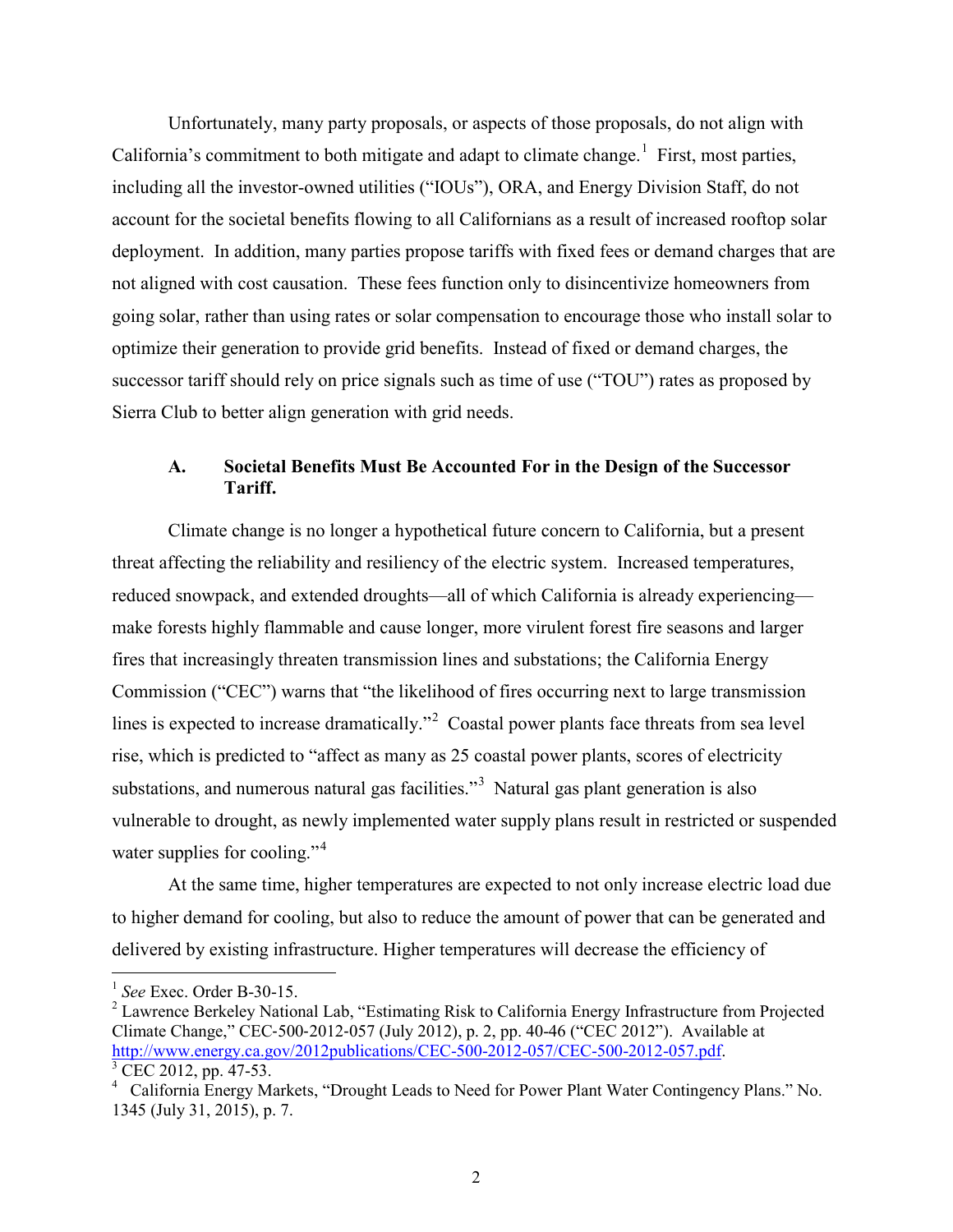Unfortunately, many party proposals, or aspects of those proposals, do not align with California's commitment to both mitigate and adapt to climate change.<sup>[1](#page-2-0)</sup> First, most parties, including all the investor-owned utilities ("IOUs"), ORA, and Energy Division Staff, do not account for the societal benefits flowing to all Californians as a result of increased rooftop solar deployment. In addition, many parties propose tariffs with fixed fees or demand charges that are not aligned with cost causation. These fees function only to disincentivize homeowners from going solar, rather than using rates or solar compensation to encourage those who install solar to optimize their generation to provide grid benefits. Instead of fixed or demand charges, the successor tariff should rely on price signals such as time of use ("TOU") rates as proposed by Sierra Club to better align generation with grid needs.

## **A. Societal Benefits Must Be Accounted For in the Design of the Successor Tariff.**

Climate change is no longer a hypothetical future concern to California, but a present threat affecting the reliability and resiliency of the electric system. Increased temperatures, reduced snowpack, and extended droughts—all of which California is already experiencing make forests highly flammable and cause longer, more virulent forest fire seasons and larger fires that increasingly threaten transmission lines and substations; the California Energy Commission ("CEC") warns that "the likelihood of fires occurring next to large transmission lines is expected to increase dramatically."<sup>[2](#page-2-1)</sup> Coastal power plants face threats from sea level rise, which is predicted to "affect as many as 25 coastal power plants, scores of electricity substations, and numerous natural gas facilities."<sup>[3](#page-2-2)</sup> Natural gas plant generation is also vulnerable to drought, as newly implemented water supply plans result in restricted or suspended water supplies for cooling."<sup>[4](#page-2-3)</sup>

At the same time, higher temperatures are expected to not only increase electric load due to higher demand for cooling, but also to reduce the amount of power that can be generated and delivered by existing infrastructure. Higher temperatures will decrease the efficiency of

<sup>1</sup> *See* Exec. Order B-30-15.

<span id="page-2-1"></span><span id="page-2-0"></span><sup>2</sup> Lawrence Berkeley National Lab, "Estimating Risk to California Energy Infrastructure from Projected Climate Change," CEC‐500‐2012‐057 (July 2012), p. 2, pp. 40-46 ("CEC 2012"). Available at [http://www.energy.ca.gov/2012publications/CEC-500-2012-057/CEC-500-2012-057.pdf.](http://www.energy.ca.gov/2012publications/CEC-500-2012-057/CEC-500-2012-057.pdf) CEC 2012, pp. 47-53.

<span id="page-2-3"></span><span id="page-2-2"></span><sup>&</sup>lt;sup>4</sup> California Energy Markets, "Drought Leads to Need for Power Plant Water Contingency Plans." No. 1345 (July 31, 2015), p. 7.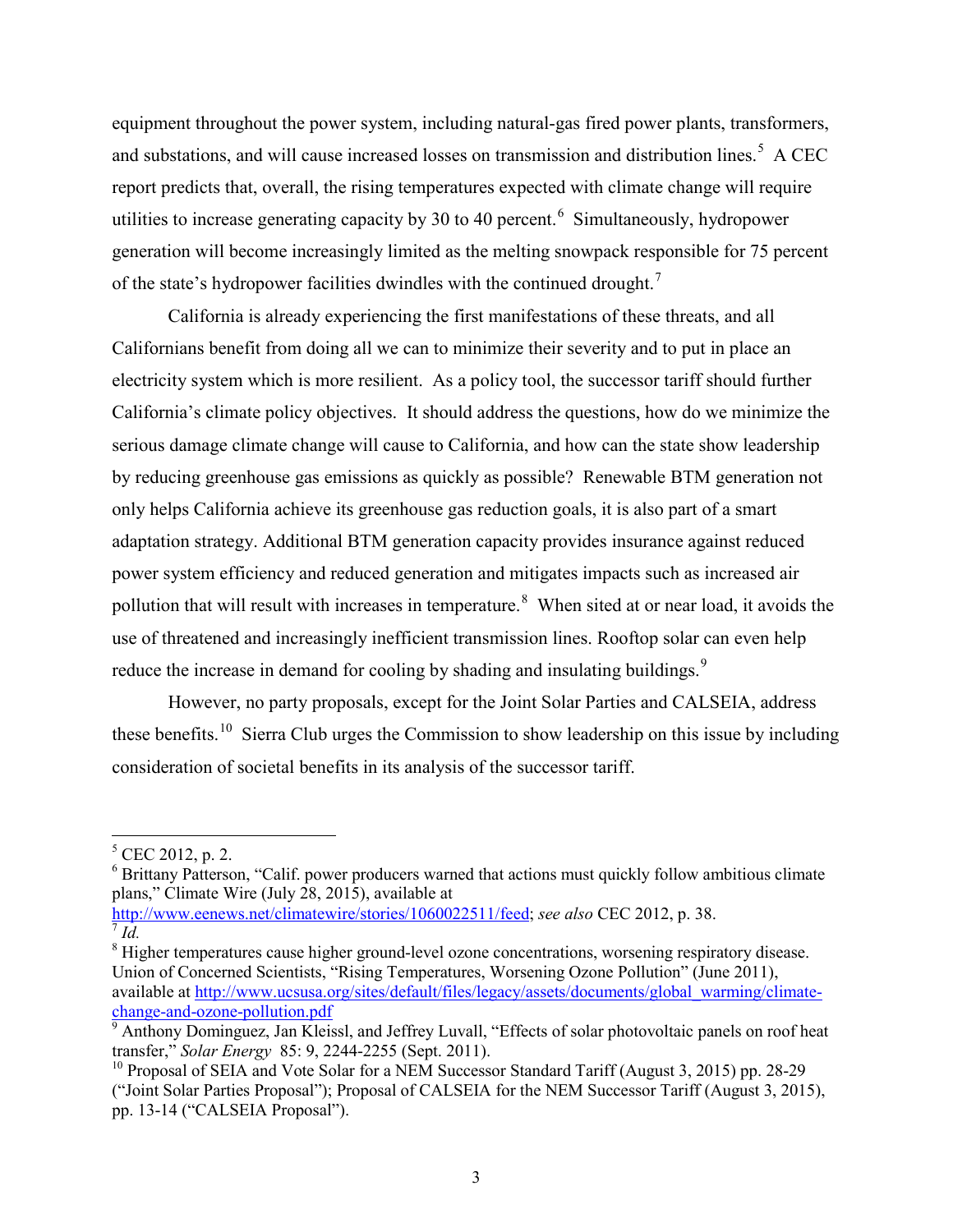equipment throughout the power system, including natural-gas fired power plants, transformers, and substations, and will cause increased losses on transmission and distribution lines.<sup>[5](#page-3-0)</sup> A CEC report predicts that, overall, the rising temperatures expected with climate change will require utilities to increase generating capacity by 30 to 40 percent.  $\delta$  Simultaneously, hydropower generation will become increasingly limited as the melting snowpack responsible for 75 percent of the state's hydropower facilities dwindles with the continued drought.<sup>[7](#page-3-2)</sup>

California is already experiencing the first manifestations of these threats, and all Californians benefit from doing all we can to minimize their severity and to put in place an electricity system which is more resilient. As a policy tool, the successor tariff should further California's climate policy objectives. It should address the questions, how do we minimize the serious damage climate change will cause to California, and how can the state show leadership by reducing greenhouse gas emissions as quickly as possible? Renewable BTM generation not only helps California achieve its greenhouse gas reduction goals, it is also part of a smart adaptation strategy. Additional BTM generation capacity provides insurance against reduced power system efficiency and reduced generation and mitigates impacts such as increased air pollution that will result with increases in temperature.<sup>[8](#page-3-3)</sup> When sited at or near load, it avoids the use of threatened and increasingly inefficient transmission lines. Rooftop solar can even help reduce the increase in demand for cooling by shading and insulating buildings.<sup>[9](#page-3-4)</sup>

However, no party proposals, except for the Joint Solar Parties and CALSEIA, address these benefits.<sup>[10](#page-3-5)</sup> Sierra Club urges the Commission to show leadership on this issue by including consideration of societal benefits in its analysis of the successor tariff.

<span id="page-3-0"></span> $5$  CEC 2012, p. 2.

<span id="page-3-1"></span><sup>&</sup>lt;sup>6</sup> Brittany Patterson, "Calif. power producers warned that actions must quickly follow ambitious climate plans," Climate Wire (July 28, 2015), available at

[http://www.eenews.net/climatewire/stories/1060022511/feed;](http://www.eenews.net/climatewire/stories/1060022511/feed) *see also* CEC 2012, p. 38.

 $^7$  *Id.* 

<span id="page-3-3"></span><span id="page-3-2"></span><sup>8</sup> Higher temperatures cause higher ground-level ozone concentrations, worsening respiratory disease. Union of Concerned Scientists, "Rising Temperatures, Worsening Ozone Pollution" (June 2011), available at [http://www.ucsusa.org/sites/default/files/legacy/assets/documents/global\\_warming/climate](http://www.ucsusa.org/sites/default/files/legacy/assets/documents/global_warming/climate-change-and-ozone-pollution.pdf)[change-and-ozone-pollution.pdf 9](http://www.ucsusa.org/sites/default/files/legacy/assets/documents/global_warming/climate-change-and-ozone-pollution.pdf)

<span id="page-3-4"></span> $\frac{1}{9}$  Anthony Dominguez, Jan Kleissl, and Jeffrey Luvall, "Effects of solar photovoltaic panels on roof heat transfer," *Solar Energy* 85: 9, 2244-2255 (Sept. 2011).

<span id="page-3-5"></span><sup>&</sup>lt;sup>10</sup> Proposal of SEIA and Vote Solar for a NEM Successor Standard Tariff (August 3, 2015) pp. 28-29 ("Joint Solar Parties Proposal"); Proposal of CALSEIA for the NEM Successor Tariff (August 3, 2015), pp. 13-14 ("CALSEIA Proposal").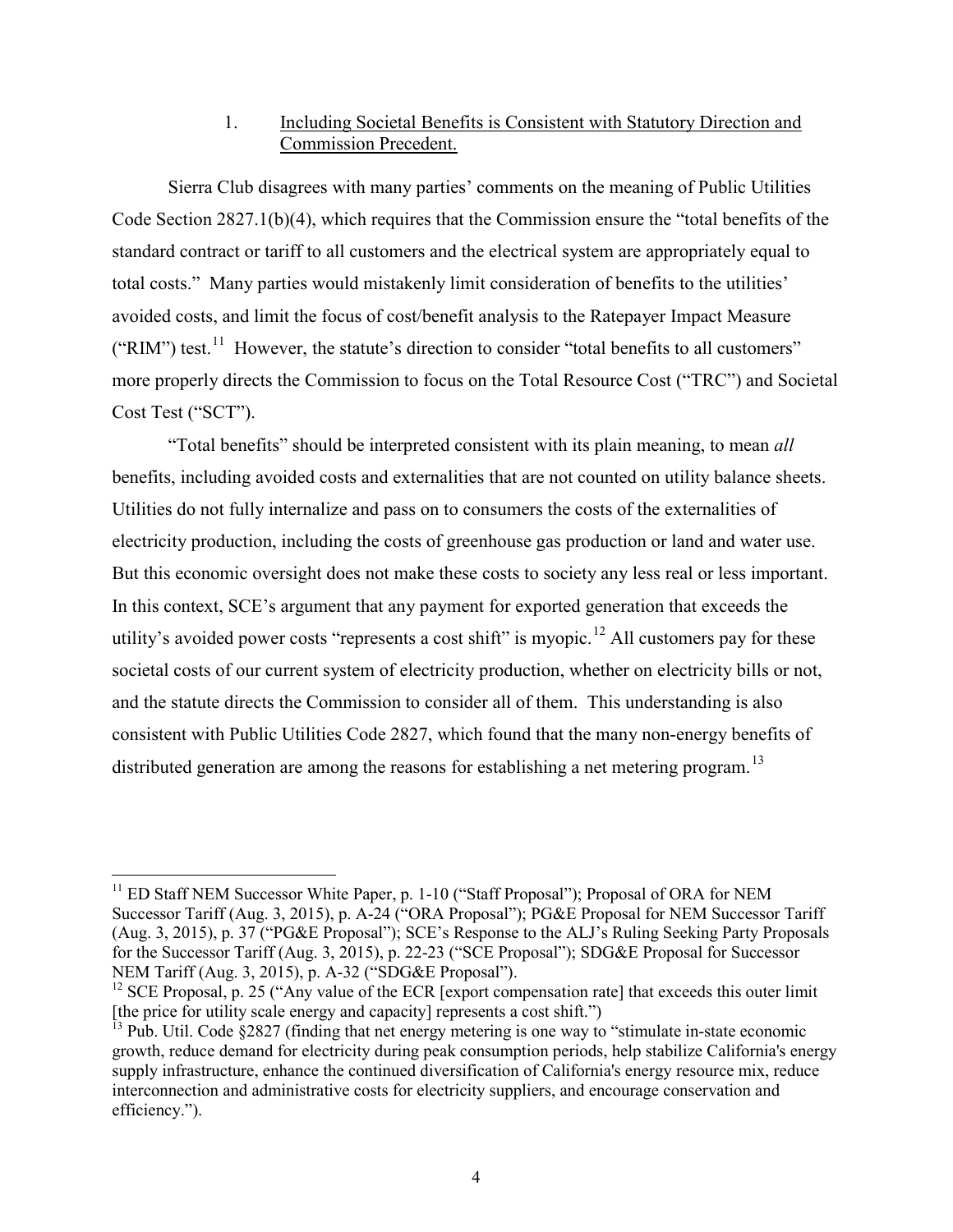# 1. Including Societal Benefits is Consistent with Statutory Direction and Commission Precedent.

Sierra Club disagrees with many parties' comments on the meaning of Public Utilities Code Section 2827.1(b)(4), which requires that the Commission ensure the "total benefits of the standard contract or tariff to all customers and the electrical system are appropriately equal to total costs." Many parties would mistakenly limit consideration of benefits to the utilities' avoided costs, and limit the focus of cost/benefit analysis to the Ratepayer Impact Measure ("RIM") test.<sup>11</sup> However, the statute's direction to consider "total benefits to all customers" more properly directs the Commission to focus on the Total Resource Cost ("TRC") and Societal Cost Test ("SCT").

"Total benefits" should be interpreted consistent with its plain meaning, to mean *all* benefits, including avoided costs and externalities that are not counted on utility balance sheets. Utilities do not fully internalize and pass on to consumers the costs of the externalities of electricity production, including the costs of greenhouse gas production or land and water use. But this economic oversight does not make these costs to society any less real or less important. In this context, SCE's argument that any payment for exported generation that exceeds the utility's avoided power costs "represents a cost shift" is myopic.<sup>[12](#page-4-1)</sup> All customers pay for these societal costs of our current system of electricity production, whether on electricity bills or not, and the statute directs the Commission to consider all of them. This understanding is also consistent with Public Utilities Code 2827, which found that the many non-energy benefits of distributed generation are among the reasons for establishing a net metering program.<sup>[13](#page-4-2)</sup>

<span id="page-4-0"></span> $11$  ED Staff NEM Successor White Paper, p. 1-10 ("Staff Proposal"); Proposal of ORA for NEM Successor Tariff (Aug. 3, 2015), p. A-24 ("ORA Proposal"); PG&E Proposal for NEM Successor Tariff (Aug. 3, 2015), p. 37 ("PG&E Proposal"); SCE's Response to the ALJ's Ruling Seeking Party Proposals for the Successor Tariff (Aug. 3, 2015), p. 22-23 ("SCE Proposal"); SDG&E Proposal for Successor NEM Tariff (Aug. 3, 2015), p. A-32 ("SDG&E Proposal").

<span id="page-4-1"></span><sup>&</sup>lt;sup>12</sup> SCE Proposal, p. 25 ("Any value of the ECR [export compensation rate] that exceeds this outer limit [the price for utility scale energy and capacity] represents a cost shift.")

<span id="page-4-2"></span> $13$  Pub. Util. Code  $\S 2827$  (finding that net energy metering is one way to "stimulate in-state economic growth, reduce demand for electricity during peak consumption periods, help stabilize California's energy supply infrastructure, enhance the continued diversification of California's energy resource mix, reduce interconnection and administrative costs for electricity suppliers, and encourage conservation and efficiency.").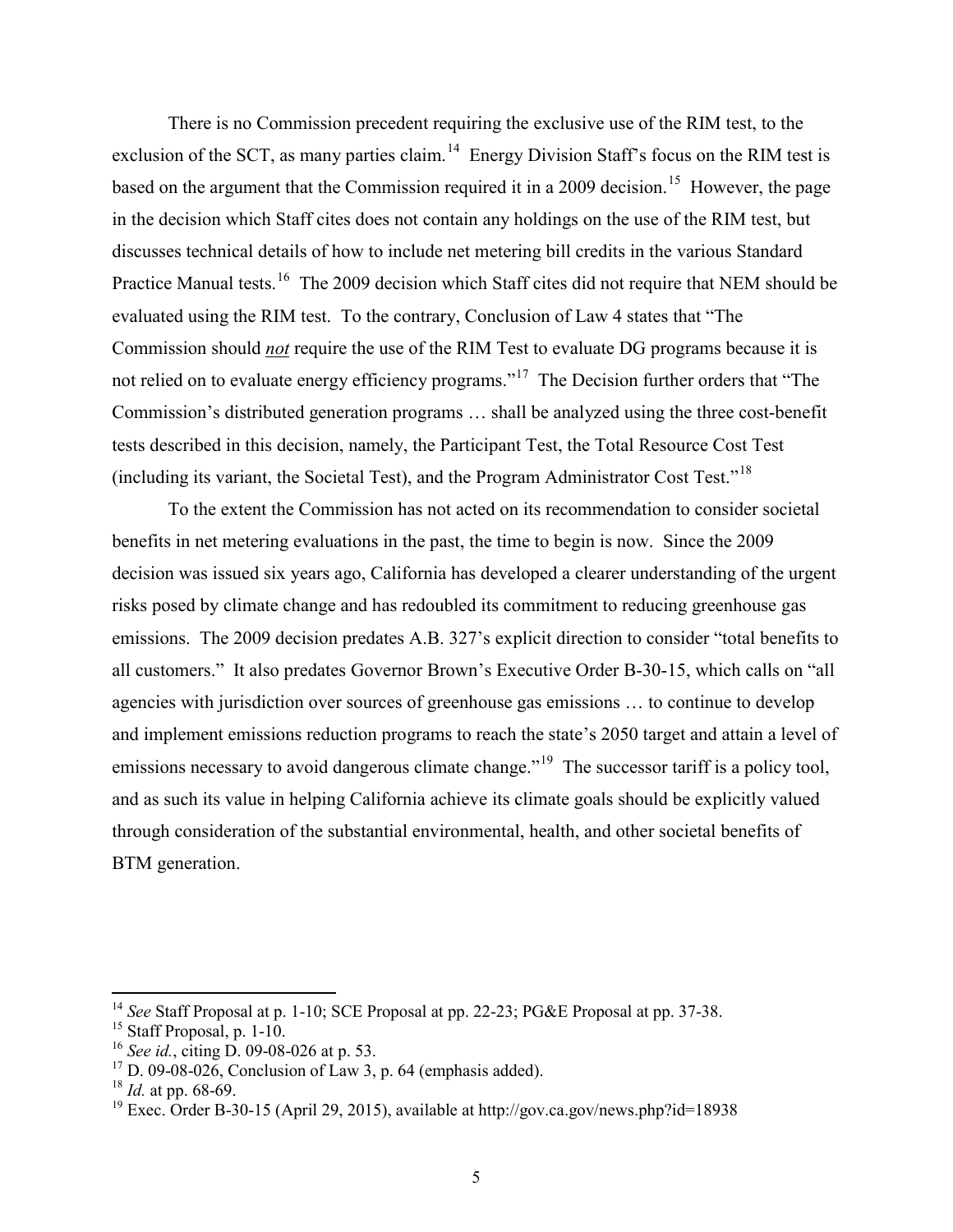There is no Commission precedent requiring the exclusive use of the RIM test, to the exclusion of the SCT, as many parties claim.<sup>14</sup> Energy Division Staff's focus on the RIM test is based on the argument that the Commission required it in a 2009 decision.<sup>15</sup> However, the page in the decision which Staff cites does not contain any holdings on the use of the RIM test, but discusses technical details of how to include net metering bill credits in the various Standard Practice Manual tests.<sup>[16](#page-5-2)</sup> The 2009 decision which Staff cites did not require that NEM should be evaluated using the RIM test. To the contrary, Conclusion of Law 4 states that "The Commission should *not* require the use of the RIM Test to evaluate DG programs because it is not relied on to evaluate energy efficiency programs."<sup>17</sup> The Decision further orders that "The Commission's distributed generation programs … shall be analyzed using the three cost-benefit tests described in this decision, namely, the Participant Test, the Total Resource Cost Test (including its variant, the Societal Test), and the Program Administrator Cost Test."[18](#page-5-4)

 To the extent the Commission has not acted on its recommendation to consider societal benefits in net metering evaluations in the past, the time to begin is now. Since the 2009 decision was issued six years ago, California has developed a clearer understanding of the urgent risks posed by climate change and has redoubled its commitment to reducing greenhouse gas emissions. The 2009 decision predates A.B. 327's explicit direction to consider "total benefits to all customers." It also predates Governor Brown's Executive Order B-30-15, which calls on "all agencies with jurisdiction over sources of greenhouse gas emissions … to continue to develop and implement emissions reduction programs to reach the state's 2050 target and attain a level of emissions necessary to avoid dangerous climate change.<sup>"19</sup> The successor tariff is a policy tool, and as such its value in helping California achieve its climate goals should be explicitly valued through consideration of the substantial environmental, health, and other societal benefits of BTM generation.

<sup>14</sup> *See* Staff Proposal at p. 1-10; SCE Proposal at pp. 22-23; PG&E Proposal at pp. 37-38.

<span id="page-5-1"></span><span id="page-5-0"></span><sup>&</sup>lt;sup>15</sup> Staff Proposal, p. 1-10.

<span id="page-5-2"></span><sup>16</sup> *See id.*, citing D. 09-08-026 at p. 53.

<span id="page-5-3"></span> $17$  D. 09-08-026, Conclusion of Law 3, p. 64 (emphasis added).

<span id="page-5-4"></span><sup>18</sup> *Id.* at pp. 68-69.

<span id="page-5-5"></span><sup>&</sup>lt;sup>19</sup> Exec. Order B-30-15 (April 29, 2015), available at http://gov.ca.gov/news.php?id=18938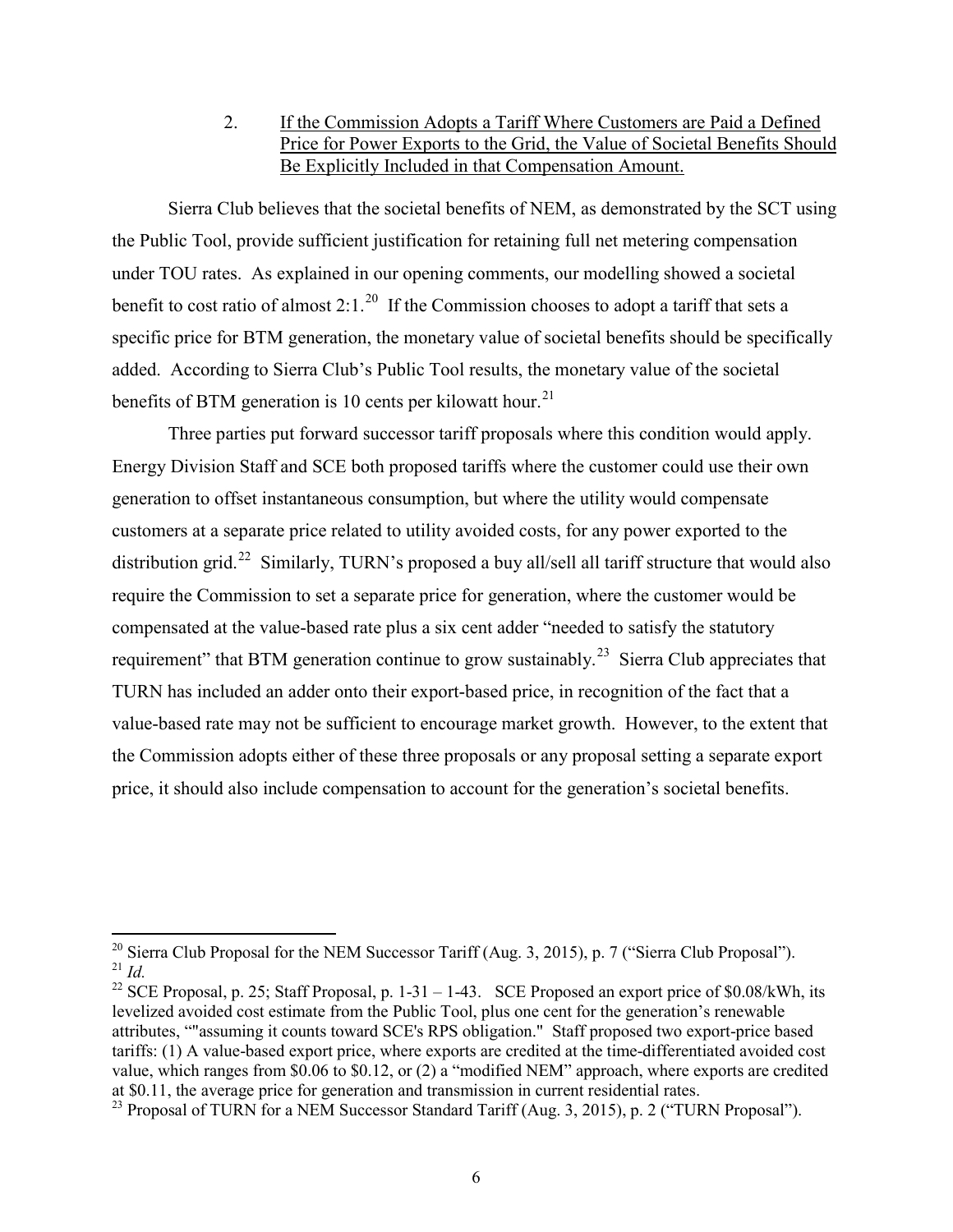2. If the Commission Adopts a Tariff Where Customers are Paid a Defined Price for Power Exports to the Grid, the Value of Societal Benefits Should Be Explicitly Included in that Compensation Amount.

Sierra Club believes that the societal benefits of NEM, as demonstrated by the SCT using the Public Tool, provide sufficient justification for retaining full net metering compensation under TOU rates. As explained in our opening comments, our modelling showed a societal benefit to cost ratio of almost 2:1.<sup>[20](#page-6-0)</sup> If the Commission chooses to adopt a tariff that sets a specific price for BTM generation, the monetary value of societal benefits should be specifically added. According to Sierra Club's Public Tool results, the monetary value of the societal benefits of BTM generation is 10 cents per kilowatt hour.<sup>[21](#page-6-1)</sup>

Three parties put forward successor tariff proposals where this condition would apply. Energy Division Staff and SCE both proposed tariffs where the customer could use their own generation to offset instantaneous consumption, but where the utility would compensate customers at a separate price related to utility avoided costs, for any power exported to the distribution grid.<sup>[22](#page-6-2)</sup> Similarly, TURN's proposed a buy all/sell all tariff structure that would also require the Commission to set a separate price for generation, where the customer would be compensated at the value-based rate plus a six cent adder "needed to satisfy the statutory requirement" that BTM generation continue to grow sustainably.<sup>23</sup> Sierra Club appreciates that TURN has included an adder onto their export-based price, in recognition of the fact that a value-based rate may not be sufficient to encourage market growth. However, to the extent that the Commission adopts either of these three proposals or any proposal setting a separate export price, it should also include compensation to account for the generation's societal benefits.

<span id="page-6-1"></span><span id="page-6-0"></span><sup>&</sup>lt;sup>20</sup> Sierra Club Proposal for the NEM Successor Tariff (Aug. 3, 2015), p. 7 ("Sierra Club Proposal").  $^{21}$  *Id.* 

<span id="page-6-2"></span><sup>&</sup>lt;sup>22</sup> SCE Proposal, p. 25; Staff Proposal, p. 1-31 – 1-43. SCE Proposed an export price of \$0.08/kWh, its levelized avoided cost estimate from the Public Tool, plus one cent for the generation's renewable attributes, ""assuming it counts toward SCE's RPS obligation." Staff proposed two export-price based tariffs: (1) A value-based export price, where exports are credited at the time-differentiated avoided cost value, which ranges from \$0.06 to \$0.12, or (2) a "modified NEM" approach, where exports are credited at \$0.11, the average price for generation and transmission in current residential rates.

<span id="page-6-3"></span><sup>&</sup>lt;sup>23</sup> Proposal of TURN for a NEM Successor Standard Tariff (Aug. 3, 2015), p. 2 ("TURN Proposal").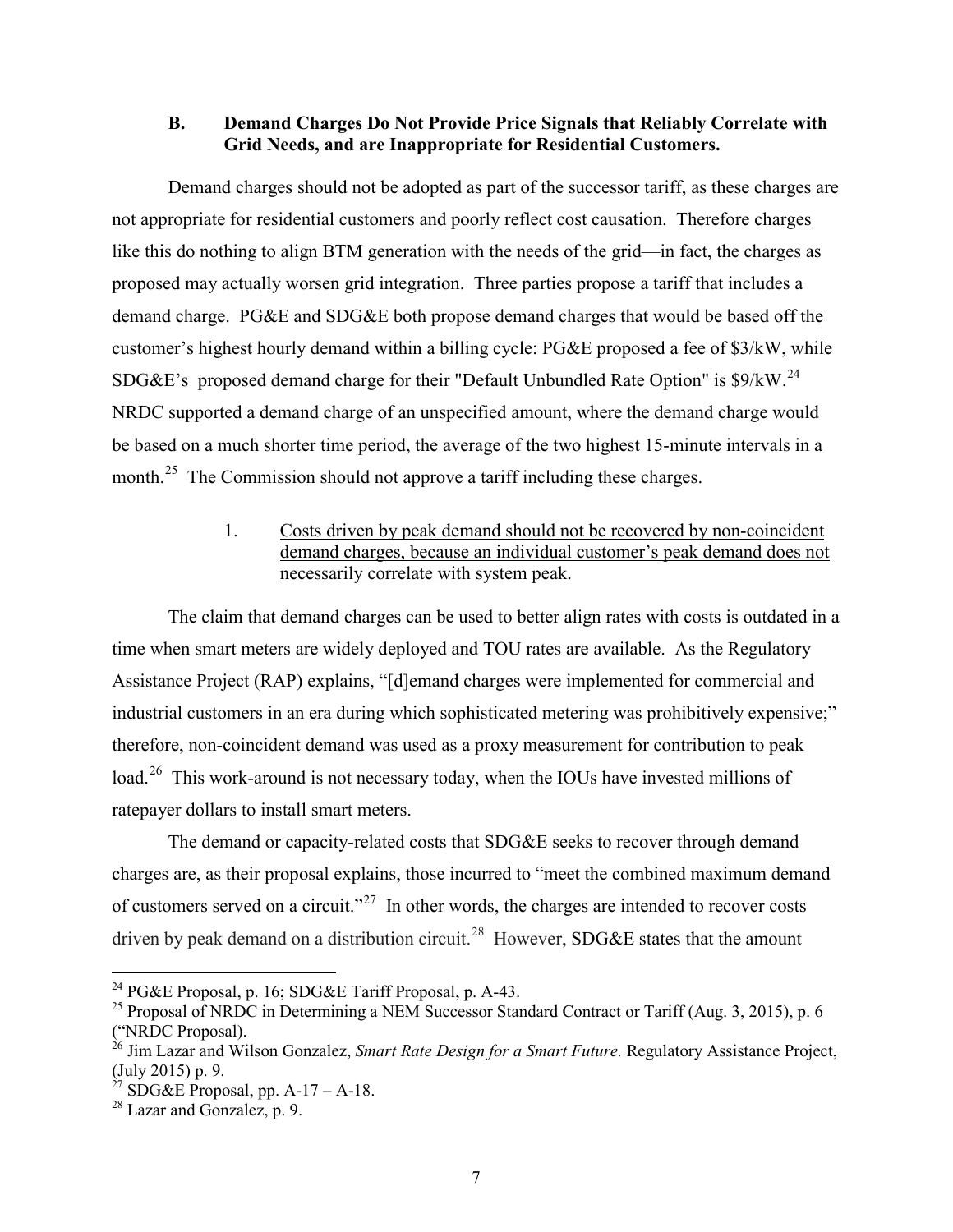#### **B. Demand Charges Do Not Provide Price Signals that Reliably Correlate with Grid Needs, and are Inappropriate for Residential Customers.**

Demand charges should not be adopted as part of the successor tariff, as these charges are not appropriate for residential customers and poorly reflect cost causation. Therefore charges like this do nothing to align BTM generation with the needs of the grid—in fact, the charges as proposed may actually worsen grid integration. Three parties propose a tariff that includes a demand charge. PG&E and SDG&E both propose demand charges that would be based off the customer's highest hourly demand within a billing cycle: PG&E proposed a fee of \$3/kW, while SDG&E's proposed demand charge for their "Default Unbundled Rate Option" is  $\frac{1}{2}$ % S9/kW.<sup>[24](#page-7-0)</sup> NRDC supported a demand charge of an unspecified amount, where the demand charge would be based on a much shorter time period, the average of the two highest 15-minute intervals in a month.<sup>[25](#page-7-1)</sup> The Commission should not approve a tariff including these charges.

## 1. Costs driven by peak demand should not be recovered by non-coincident demand charges, because an individual customer's peak demand does not necessarily correlate with system peak.

The claim that demand charges can be used to better align rates with costs is outdated in a time when smart meters are widely deployed and TOU rates are available. As the Regulatory Assistance Project (RAP) explains, "[d]emand charges were implemented for commercial and industrial customers in an era during which sophisticated metering was prohibitively expensive;" therefore, non-coincident demand was used as a proxy measurement for contribution to peak load.<sup>[26](#page-7-2)</sup> This work-around is not necessary today, when the IOUs have invested millions of ratepayer dollars to install smart meters.

The demand or capacity-related costs that SDG&E seeks to recover through demand charges are, as their proposal explains, those incurred to "meet the combined maximum demand of customers served on a circuit."<sup>27</sup> In other words, the charges are intended to recover costs driven by peak demand on a distribution circuit.<sup>[28](#page-7-4)</sup> However, SDG&E states that the amount

<sup>&</sup>lt;sup>24</sup> PG&E Proposal, p. 16; SDG&E Tariff Proposal, p. A-43.

<span id="page-7-1"></span><span id="page-7-0"></span><sup>&</sup>lt;sup>25</sup> Proposal of NRDC in Determining a NEM Successor Standard Contract or Tariff (Aug. 3, 2015), p. 6 ("NRDC Proposal).

<span id="page-7-2"></span><sup>&</sup>lt;sup>26</sup> Jim Lazar and Wilson Gonzalez, *Smart Rate Design for a Smart Future*. Regulatory Assistance Project, (July 2015) p. 9.

<span id="page-7-3"></span><sup>&</sup>lt;sup>27</sup> SDG&E Proposal, pp.  $A-17 - A-18$ .

<span id="page-7-4"></span> $^{28}$  Lazar and Gonzalez, p. 9.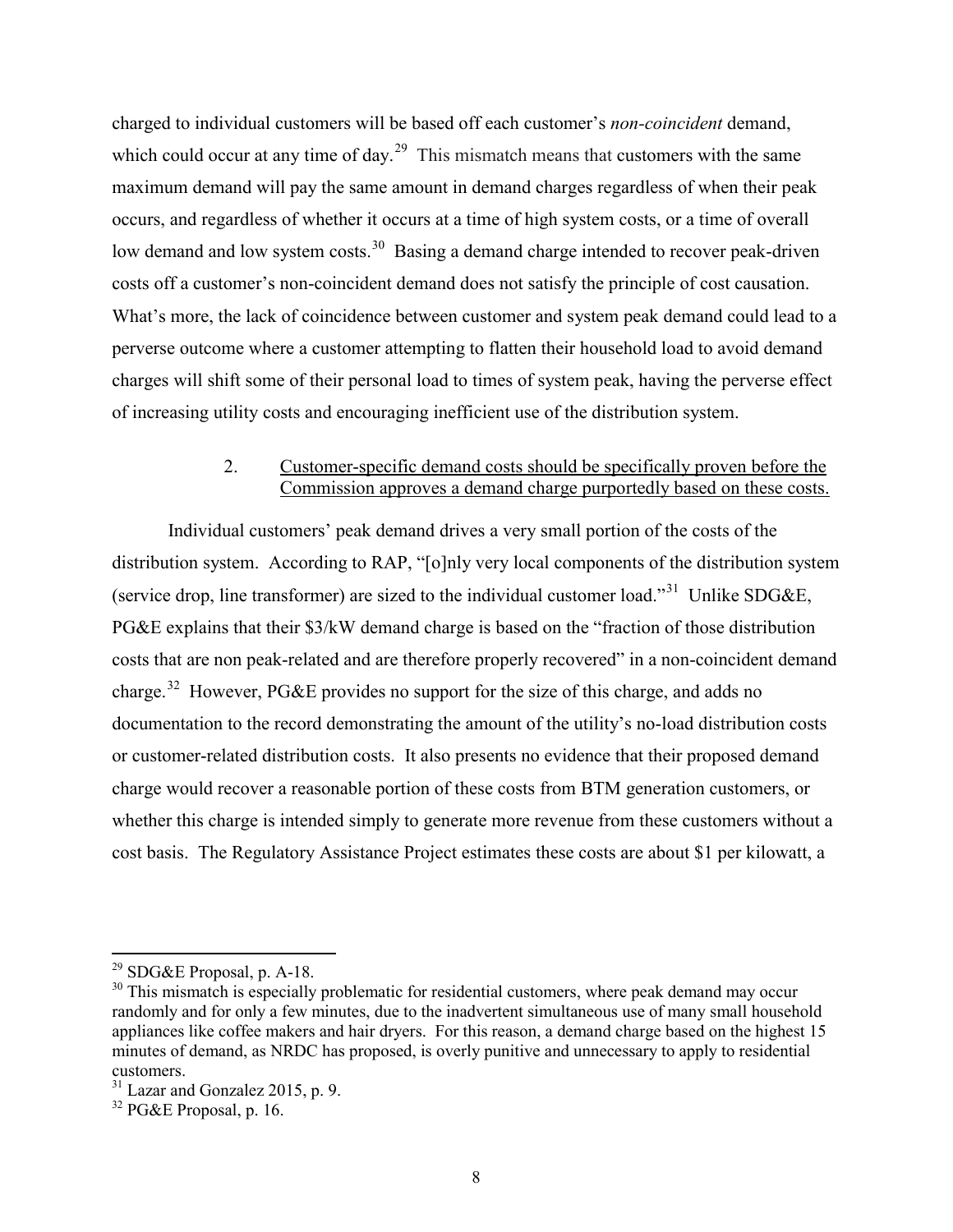charged to individual customers will be based off each customer's *non-coincident* demand, which could occur at any time of day.<sup>29</sup> This mismatch means that customers with the same maximum demand will pay the same amount in demand charges regardless of when their peak occurs, and regardless of whether it occurs at a time of high system costs, or a time of overall low demand and low system costs.<sup>[30](#page-8-1)</sup> Basing a demand charge intended to recover peak-driven costs off a customer's non-coincident demand does not satisfy the principle of cost causation. What's more, the lack of coincidence between customer and system peak demand could lead to a perverse outcome where a customer attempting to flatten their household load to avoid demand charges will shift some of their personal load to times of system peak, having the perverse effect of increasing utility costs and encouraging inefficient use of the distribution system.

#### 2. Customer-specific demand costs should be specifically proven before the Commission approves a demand charge purportedly based on these costs.

Individual customers' peak demand drives a very small portion of the costs of the distribution system. According to RAP, "[o]nly very local components of the distribution system (service drop, line transformer) are sized to the individual customer load."<sup>[31](#page-8-2)</sup> Unlike SDG&E, PG&E explains that their \$3/kW demand charge is based on the "fraction of those distribution costs that are non peak-related and are therefore properly recovered" in a non-coincident demand charge.<sup>32</sup> However, PG&E provides no support for the size of this charge, and adds no documentation to the record demonstrating the amount of the utility's no-load distribution costs or customer-related distribution costs. It also presents no evidence that their proposed demand charge would recover a reasonable portion of these costs from BTM generation customers, or whether this charge is intended simply to generate more revenue from these customers without a cost basis. The Regulatory Assistance Project estimates these costs are about \$1 per kilowatt, a

<span id="page-8-0"></span><sup>&</sup>lt;sup>29</sup> SDG&E Proposal, p. A-18.

<span id="page-8-1"></span> $30$  This mismatch is especially problematic for residential customers, where peak demand may occur randomly and for only a few minutes, due to the inadvertent simultaneous use of many small household appliances like coffee makers and hair dryers. For this reason, a demand charge based on the highest 15 minutes of demand, as NRDC has proposed, is overly punitive and unnecessary to apply to residential customers.

<span id="page-8-2"></span> $31$  Lazar and Gonzalez 2015, p. 9.

<span id="page-8-3"></span><sup>32</sup> PG&E Proposal, p. 16.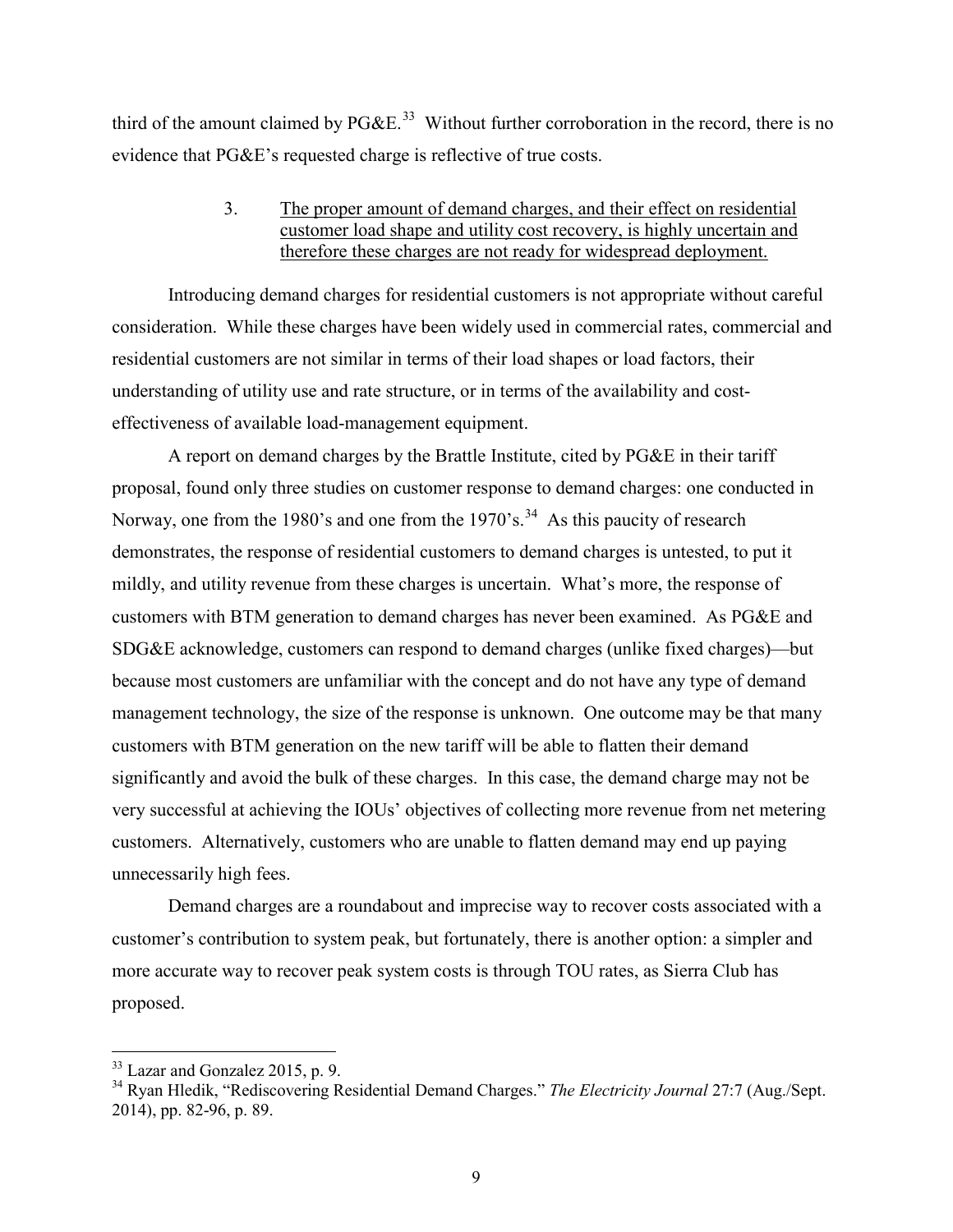third of the amount claimed by  $P G \& E^{33}$  Without further corroboration in the record, there is no evidence that PG&E's requested charge is reflective of true costs.

## 3. The proper amount of demand charges, and their effect on residential customer load shape and utility cost recovery, is highly uncertain and therefore these charges are not ready for widespread deployment.

Introducing demand charges for residential customers is not appropriate without careful consideration. While these charges have been widely used in commercial rates, commercial and residential customers are not similar in terms of their load shapes or load factors, their understanding of utility use and rate structure, or in terms of the availability and costeffectiveness of available load-management equipment.

A report on demand charges by the Brattle Institute, cited by PG&E in their tariff proposal, found only three studies on customer response to demand charges: one conducted in Norway, one from the 1980's and one from the 1970's.<sup>34</sup> As this paucity of research demonstrates, the response of residential customers to demand charges is untested, to put it mildly, and utility revenue from these charges is uncertain. What's more, the response of customers with BTM generation to demand charges has never been examined. As PG&E and SDG&E acknowledge, customers can respond to demand charges (unlike fixed charges)—but because most customers are unfamiliar with the concept and do not have any type of demand management technology, the size of the response is unknown. One outcome may be that many customers with BTM generation on the new tariff will be able to flatten their demand significantly and avoid the bulk of these charges. In this case, the demand charge may not be very successful at achieving the IOUs' objectives of collecting more revenue from net metering customers. Alternatively, customers who are unable to flatten demand may end up paying unnecessarily high fees.

Demand charges are a roundabout and imprecise way to recover costs associated with a customer's contribution to system peak, but fortunately, there is another option: a simpler and more accurate way to recover peak system costs is through TOU rates, as Sierra Club has proposed.

<sup>&</sup>lt;sup>33</sup> Lazar and Gonzalez 2015, p. 9.

<span id="page-9-1"></span><span id="page-9-0"></span><sup>34</sup> Ryan Hledik, "Rediscovering Residential Demand Charges." *The Electricity Journal* 27:7 (Aug./Sept. 2014), pp. 82-96, p. 89.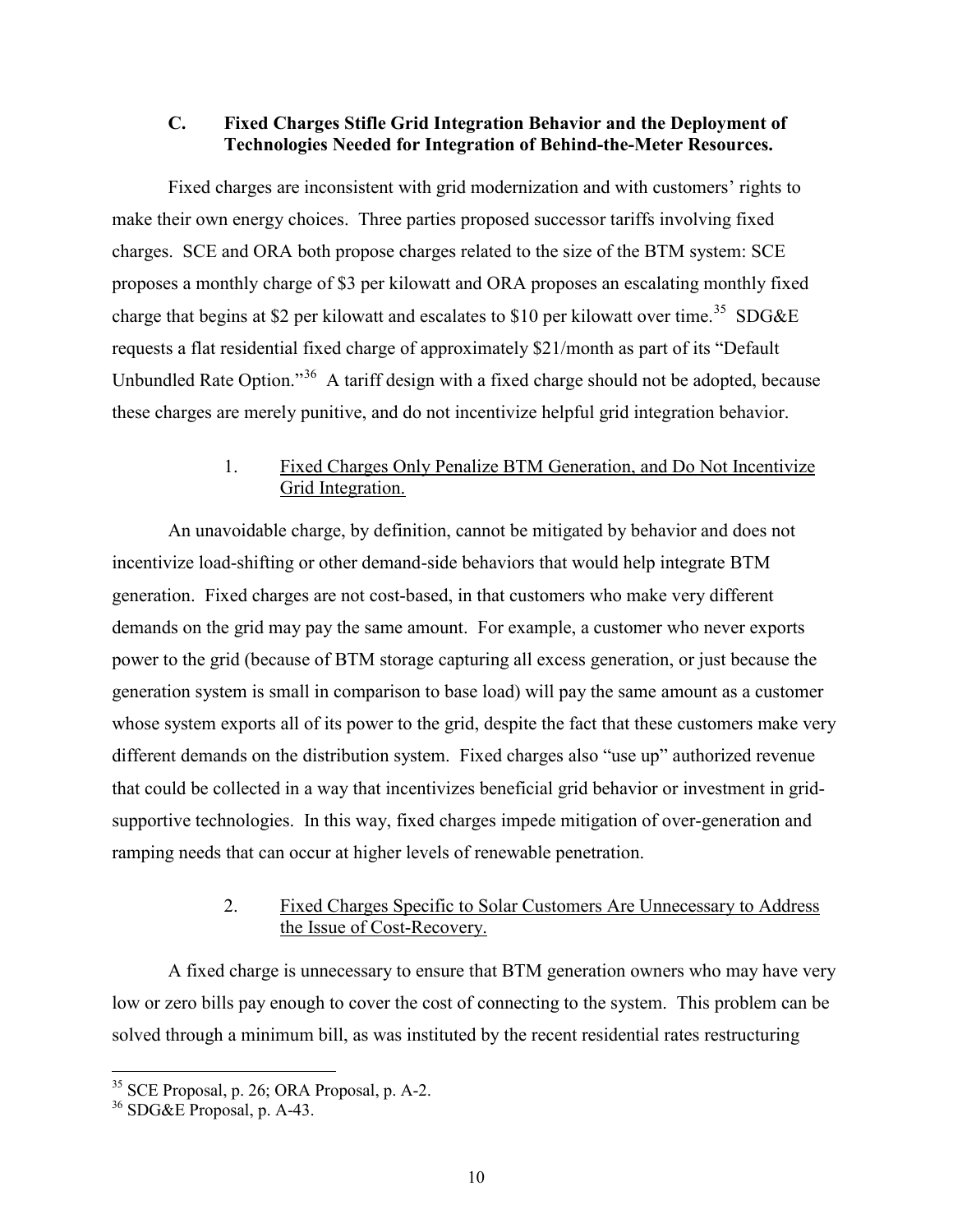## **C. Fixed Charges Stifle Grid Integration Behavior and the Deployment of Technologies Needed for Integration of Behind-the-Meter Resources.**

Fixed charges are inconsistent with grid modernization and with customers' rights to make their own energy choices. Three parties proposed successor tariffs involving fixed charges. SCE and ORA both propose charges related to the size of the BTM system: SCE proposes a monthly charge of \$3 per kilowatt and ORA proposes an escalating monthly fixed charge that begins at \$2 per kilowatt and escalates to \$10 per kilowatt over time.<sup>35</sup> SDG&E requests a flat residential fixed charge of approximately \$21/month as part of its "Default Unbundled Rate Option."[36](#page-10-1) A tariff design with a fixed charge should not be adopted, because these charges are merely punitive, and do not incentivize helpful grid integration behavior.

# 1. Fixed Charges Only Penalize BTM Generation, and Do Not Incentivize Grid Integration.

An unavoidable charge, by definition, cannot be mitigated by behavior and does not incentivize load-shifting or other demand-side behaviors that would help integrate BTM generation. Fixed charges are not cost-based, in that customers who make very different demands on the grid may pay the same amount. For example, a customer who never exports power to the grid (because of BTM storage capturing all excess generation, or just because the generation system is small in comparison to base load) will pay the same amount as a customer whose system exports all of its power to the grid, despite the fact that these customers make very different demands on the distribution system. Fixed charges also "use up" authorized revenue that could be collected in a way that incentivizes beneficial grid behavior or investment in gridsupportive technologies. In this way, fixed charges impede mitigation of over-generation and ramping needs that can occur at higher levels of renewable penetration.

# 2. Fixed Charges Specific to Solar Customers Are Unnecessary to Address the Issue of Cost-Recovery.

A fixed charge is unnecessary to ensure that BTM generation owners who may have very low or zero bills pay enough to cover the cost of connecting to the system. This problem can be solved through a minimum bill, as was instituted by the recent residential rates restructuring

<span id="page-10-0"></span><sup>&</sup>lt;sup>35</sup> SCE Proposal, p. 26; ORA Proposal, p. A-2.

<span id="page-10-1"></span> $36$  SDG&E Proposal, p. A-43.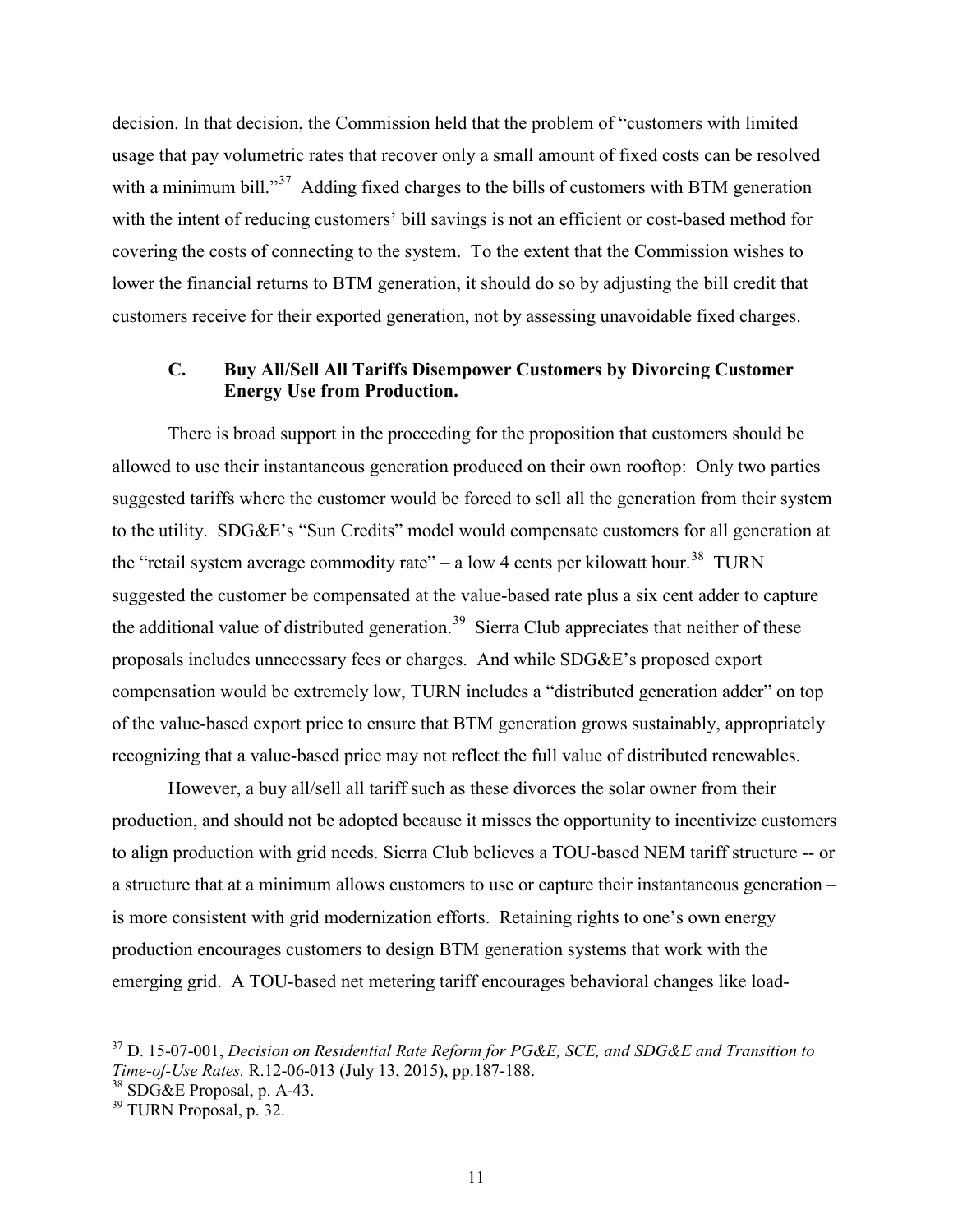decision. In that decision, the Commission held that the problem of "customers with limited usage that pay volumetric rates that recover only a small amount of fixed costs can be resolved with a minimum bill."<sup>[37](#page-11-0)</sup> Adding fixed charges to the bills of customers with BTM generation with the intent of reducing customers' bill savings is not an efficient or cost-based method for covering the costs of connecting to the system. To the extent that the Commission wishes to lower the financial returns to BTM generation, it should do so by adjusting the bill credit that customers receive for their exported generation, not by assessing unavoidable fixed charges.

# **C. Buy All/Sell All Tariffs Disempower Customers by Divorcing Customer Energy Use from Production.**

 There is broad support in the proceeding for the proposition that customers should be allowed to use their instantaneous generation produced on their own rooftop: Only two parties suggested tariffs where the customer would be forced to sell all the generation from their system to the utility. SDG&E's "Sun Credits" model would compensate customers for all generation at the "retail system average commodity rate" – a low 4 cents per kilowatt hour.<sup>38</sup> TURN suggested the customer be compensated at the value-based rate plus a six cent adder to capture the additional value of distributed generation.<sup>[39](#page-11-2)</sup> Sierra Club appreciates that neither of these proposals includes unnecessary fees or charges. And while SDG&E's proposed export compensation would be extremely low, TURN includes a "distributed generation adder" on top of the value-based export price to ensure that BTM generation grows sustainably, appropriately recognizing that a value-based price may not reflect the full value of distributed renewables.

However, a buy all/sell all tariff such as these divorces the solar owner from their production, and should not be adopted because it misses the opportunity to incentivize customers to align production with grid needs. Sierra Club believes a TOU-based NEM tariff structure -- or a structure that at a minimum allows customers to use or capture their instantaneous generation – is more consistent with grid modernization efforts. Retaining rights to one's own energy production encourages customers to design BTM generation systems that work with the emerging grid. A TOU-based net metering tariff encourages behavioral changes like load-

<span id="page-11-0"></span><sup>37</sup> D. 15-07-001, *Decision on Residential Rate Reform for PG&E, SCE, and SDG&E and Transition to Time-of-Use Rates.* R.12-06-013 (July 13, 2015), pp.187-188.

<span id="page-11-1"></span><sup>38</sup> SDG&E Proposal, p. A-43.

<span id="page-11-2"></span> $39$  TURN Proposal, p. 32.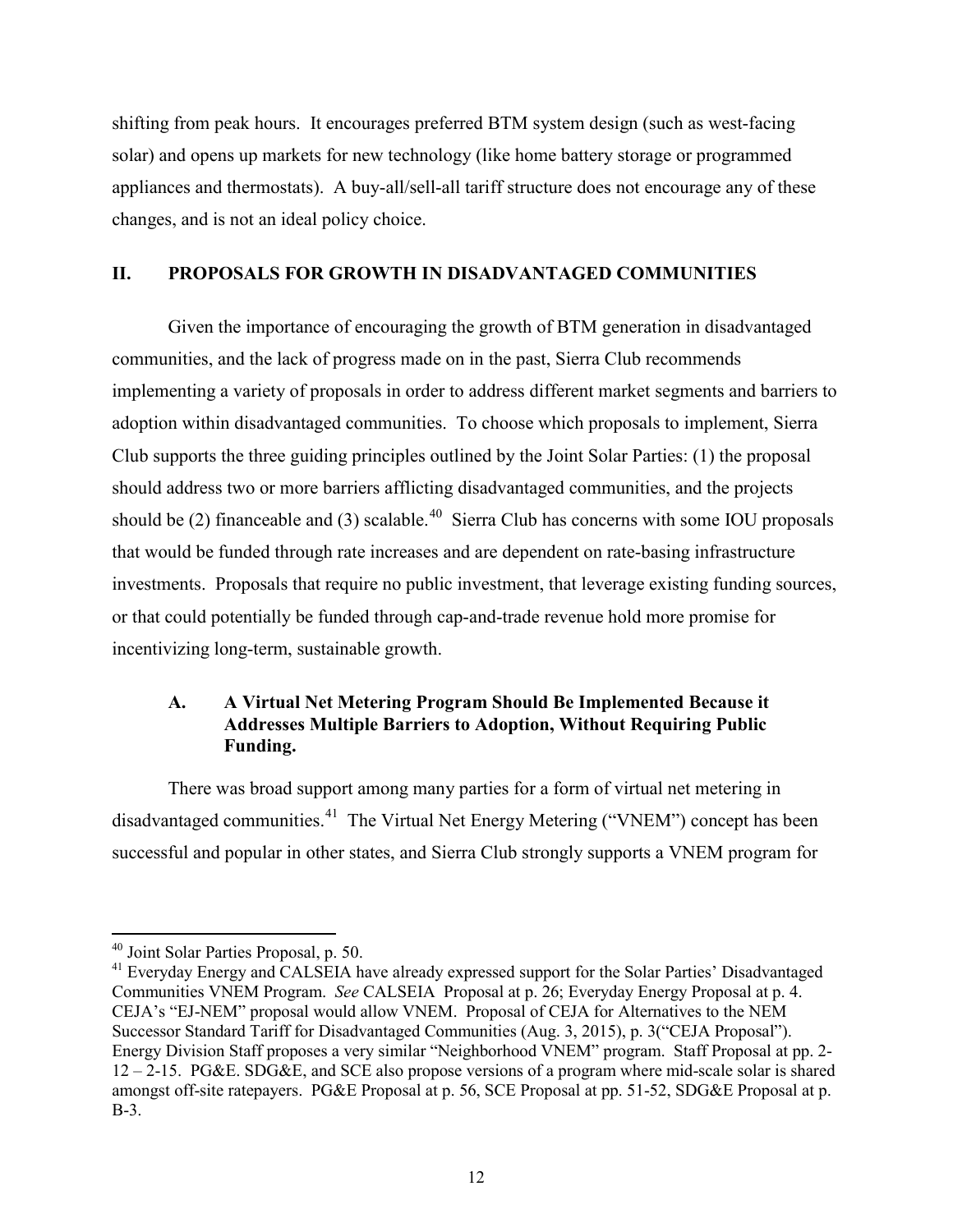shifting from peak hours. It encourages preferred BTM system design (such as west-facing solar) and opens up markets for new technology (like home battery storage or programmed appliances and thermostats). A buy-all/sell-all tariff structure does not encourage any of these changes, and is not an ideal policy choice.

## **II. PROPOSALS FOR GROWTH IN DISADVANTAGED COMMUNITIES**

 Given the importance of encouraging the growth of BTM generation in disadvantaged communities, and the lack of progress made on in the past, Sierra Club recommends implementing a variety of proposals in order to address different market segments and barriers to adoption within disadvantaged communities. To choose which proposals to implement, Sierra Club supports the three guiding principles outlined by the Joint Solar Parties: (1) the proposal should address two or more barriers afflicting disadvantaged communities, and the projects should be (2) financeable and (3) scalable.<sup>[40](#page-12-0)</sup> Sierra Club has concerns with some IOU proposals that would be funded through rate increases and are dependent on rate-basing infrastructure investments. Proposals that require no public investment, that leverage existing funding sources, or that could potentially be funded through cap-and-trade revenue hold more promise for incentivizing long-term, sustainable growth.

## **A. A Virtual Net Metering Program Should Be Implemented Because it Addresses Multiple Barriers to Adoption, Without Requiring Public Funding.**

 There was broad support among many parties for a form of virtual net metering in disadvantaged communities.<sup>[41](#page-12-1)</sup> The Virtual Net Energy Metering ("VNEM") concept has been successful and popular in other states, and Sierra Club strongly supports a VNEM program for

 $\overline{a}$ 40 Joint Solar Parties Proposal, p. 50.

<span id="page-12-1"></span><span id="page-12-0"></span><sup>&</sup>lt;sup>41</sup> Everyday Energy and CALSEIA have already expressed support for the Solar Parties' Disadvantaged Communities VNEM Program. *See* CALSEIA Proposal at p. 26; Everyday Energy Proposal at p. 4. CEJA's "EJ-NEM" proposal would allow VNEM. Proposal of CEJA for Alternatives to the NEM Successor Standard Tariff for Disadvantaged Communities (Aug. 3, 2015), p. 3("CEJA Proposal"). Energy Division Staff proposes a very similar "Neighborhood VNEM" program. Staff Proposal at pp. 2- 12 – 2-15. PG&E. SDG&E, and SCE also propose versions of a program where mid-scale solar is shared amongst off-site ratepayers. PG&E Proposal at p. 56, SCE Proposal at pp. 51-52, SDG&E Proposal at p. B-3.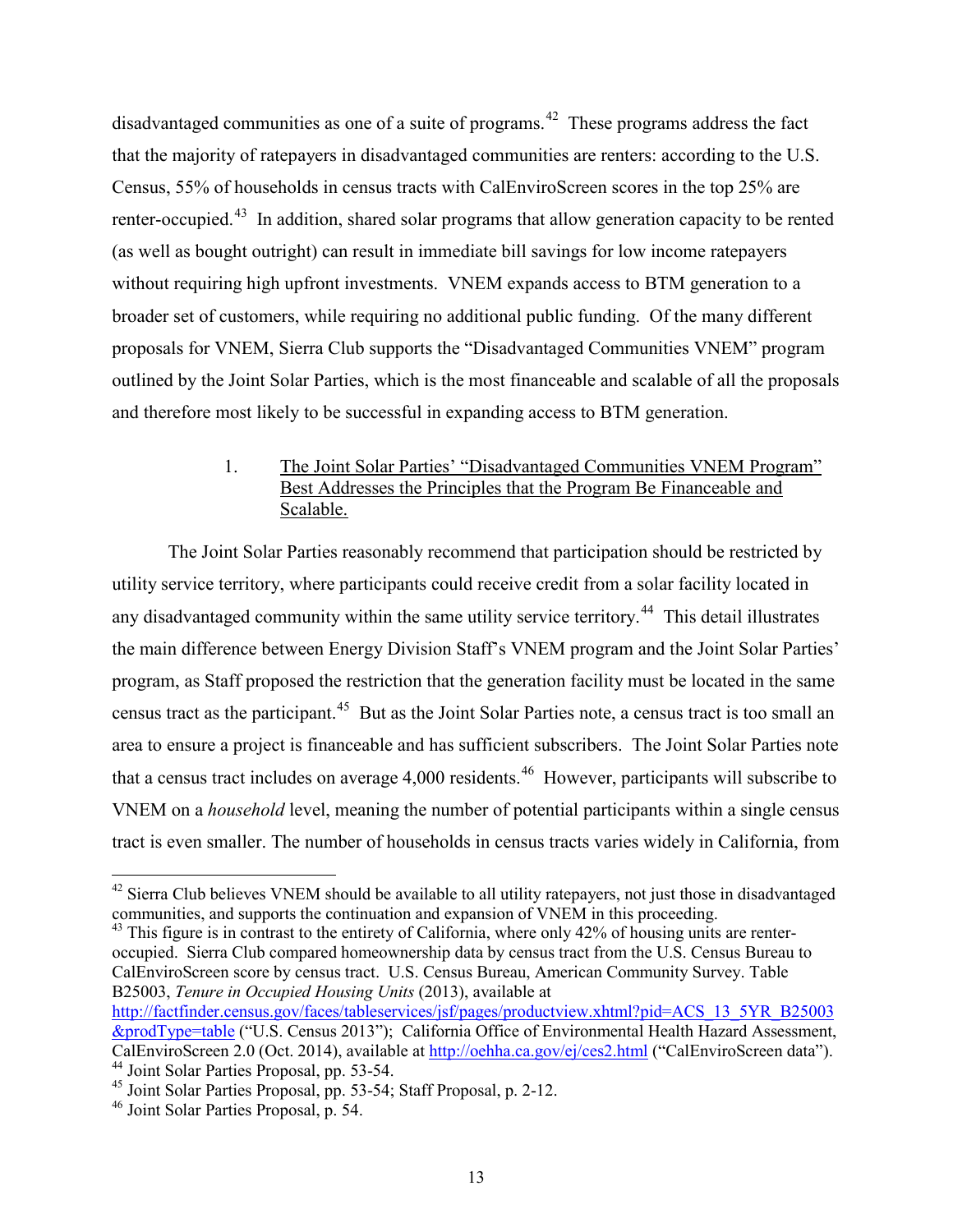disadvantaged communities as one of a suite of programs.<sup>[42](#page-13-0)</sup> These programs address the fact that the majority of ratepayers in disadvantaged communities are renters: according to the U.S. Census, 55% of households in census tracts with CalEnviroScreen scores in the top 25% are renter-occupied.<sup>[43](#page-13-1)</sup> In addition, shared solar programs that allow generation capacity to be rented (as well as bought outright) can result in immediate bill savings for low income ratepayers without requiring high upfront investments. VNEM expands access to BTM generation to a broader set of customers, while requiring no additional public funding. Of the many different proposals for VNEM, Sierra Club supports the "Disadvantaged Communities VNEM" program outlined by the Joint Solar Parties, which is the most financeable and scalable of all the proposals and therefore most likely to be successful in expanding access to BTM generation.

# 1. The Joint Solar Parties' "Disadvantaged Communities VNEM Program" Best Addresses the Principles that the Program Be Financeable and Scalable.

The Joint Solar Parties reasonably recommend that participation should be restricted by utility service territory, where participants could receive credit from a solar facility located in any disadvantaged community within the same utility service territory.<sup>[44](#page-13-2)</sup> This detail illustrates the main difference between Energy Division Staff's VNEM program and the Joint Solar Parties' program, as Staff proposed the restriction that the generation facility must be located in the same census tract as the participant.[45](#page-13-3) But as the Joint Solar Parties note, a census tract is too small an area to ensure a project is financeable and has sufficient subscribers. The Joint Solar Parties note that a census tract includes on average 4,000 residents.<sup>[46](#page-13-4)</sup> However, participants will subscribe to VNEM on a *household* level, meaning the number of potential participants within a single census tract is even smaller. The number of households in census tracts varies widely in California, from

<span id="page-13-1"></span><sup>43</sup> This figure is in contrast to the entirety of California, where only 42% of housing units are renteroccupied. Sierra Club compared homeownership data by census tract from the U.S. Census Bureau to CalEnviroScreen score by census tract. U.S. Census Bureau, American Community Survey. Table B25003, *Tenure in Occupied Housing Units* (2013), available at

[http://factfinder.census.gov/faces/tableservices/jsf/pages/productview.xhtml?pid=ACS\\_13\\_5YR\\_B25003](http://factfinder.census.gov/faces/tableservices/jsf/pages/productview.xhtml?pid=ACS_13_5YR_B25003&prodType=table) [&prodType=table](http://factfinder.census.gov/faces/tableservices/jsf/pages/productview.xhtml?pid=ACS_13_5YR_B25003&prodType=table) ("U.S. Census 2013"); California Office of Environmental Health Hazard Assessment, CalEnviroScreen 2.0 (Oct. 2014), available a[t http://oehha.ca.gov/ej/ces2.html](http://oehha.ca.gov/ej/ces2.html) ("CalEnviroScreen data"). 44 Joint Solar Parties Proposal, pp. 53-54.

<span id="page-13-0"></span><sup>&</sup>lt;sup>42</sup> Sierra Club believes VNEM should be available to all utility ratepayers, not just those in disadvantaged communities, and supports the continuation and expansion of VNEM in this proceeding.

<span id="page-13-3"></span><span id="page-13-2"></span><sup>45</sup> Joint Solar Parties Proposal, pp. 53-54; Staff Proposal, p. 2-12.

<span id="page-13-4"></span><sup>46</sup> Joint Solar Parties Proposal, p. 54.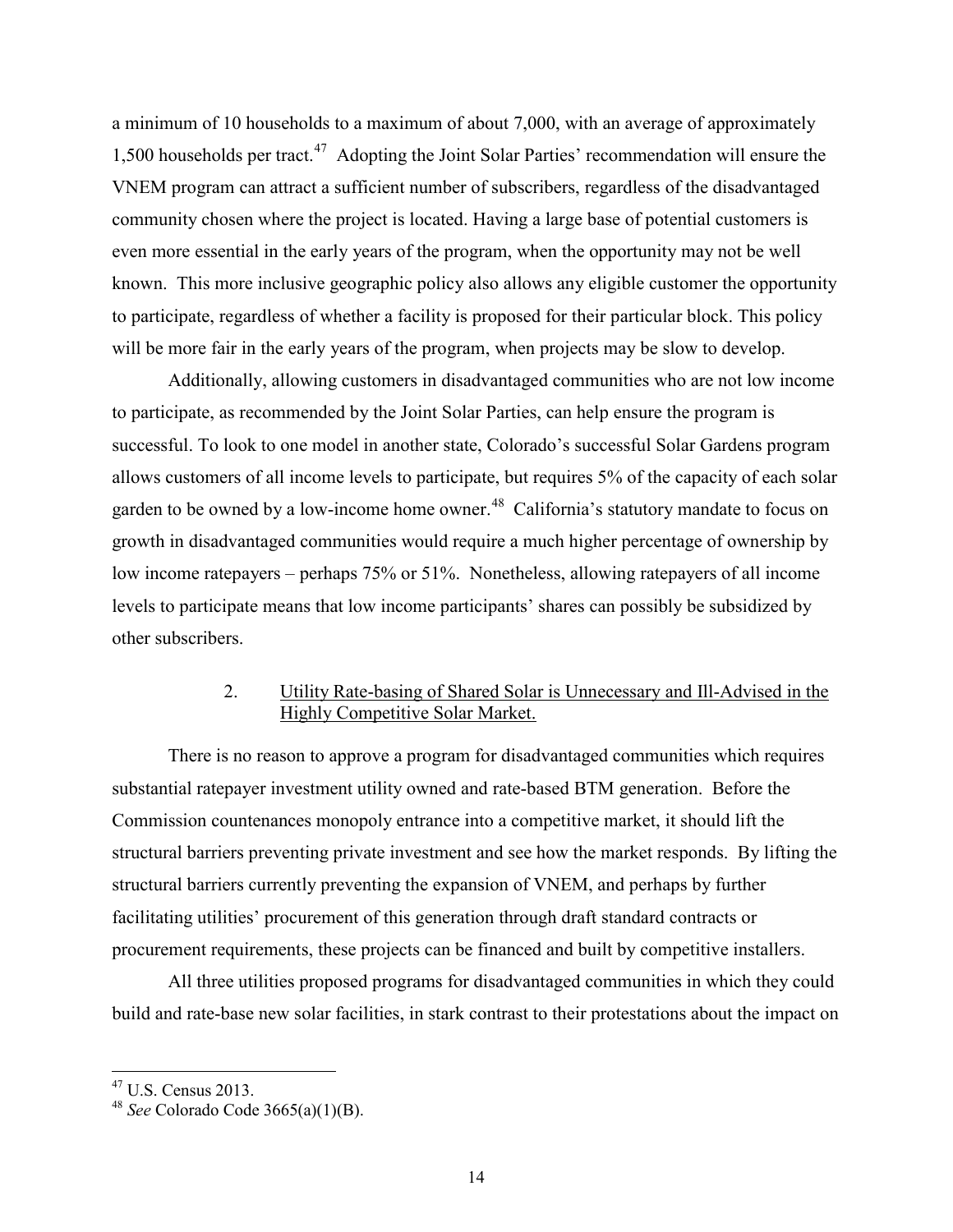a minimum of 10 households to a maximum of about 7,000, with an average of approximately 1,500 households per tract. [47](#page-14-0) Adopting the Joint Solar Parties' recommendation will ensure the VNEM program can attract a sufficient number of subscribers, regardless of the disadvantaged community chosen where the project is located. Having a large base of potential customers is even more essential in the early years of the program, when the opportunity may not be well known. This more inclusive geographic policy also allows any eligible customer the opportunity to participate, regardless of whether a facility is proposed for their particular block. This policy will be more fair in the early years of the program, when projects may be slow to develop.

Additionally, allowing customers in disadvantaged communities who are not low income to participate, as recommended by the Joint Solar Parties, can help ensure the program is successful. To look to one model in another state, Colorado's successful Solar Gardens program allows customers of all income levels to participate, but requires 5% of the capacity of each solar garden to be owned by a low-income home owner.<sup>[48](#page-14-1)</sup> California's statutory mandate to focus on growth in disadvantaged communities would require a much higher percentage of ownership by low income ratepayers – perhaps 75% or 51%. Nonetheless, allowing ratepayers of all income levels to participate means that low income participants' shares can possibly be subsidized by other subscribers.

#### 2. Utility Rate-basing of Shared Solar is Unnecessary and Ill-Advised in the Highly Competitive Solar Market.

There is no reason to approve a program for disadvantaged communities which requires substantial ratepayer investment utility owned and rate-based BTM generation. Before the Commission countenances monopoly entrance into a competitive market, it should lift the structural barriers preventing private investment and see how the market responds. By lifting the structural barriers currently preventing the expansion of VNEM, and perhaps by further facilitating utilities' procurement of this generation through draft standard contracts or procurement requirements, these projects can be financed and built by competitive installers.

All three utilities proposed programs for disadvantaged communities in which they could build and rate-base new solar facilities, in stark contrast to their protestations about the impact on

<sup>47</sup> U.S. Census 2013.

<span id="page-14-1"></span><span id="page-14-0"></span><sup>48</sup> *See* Colorado Code 3665(a)(1)(B).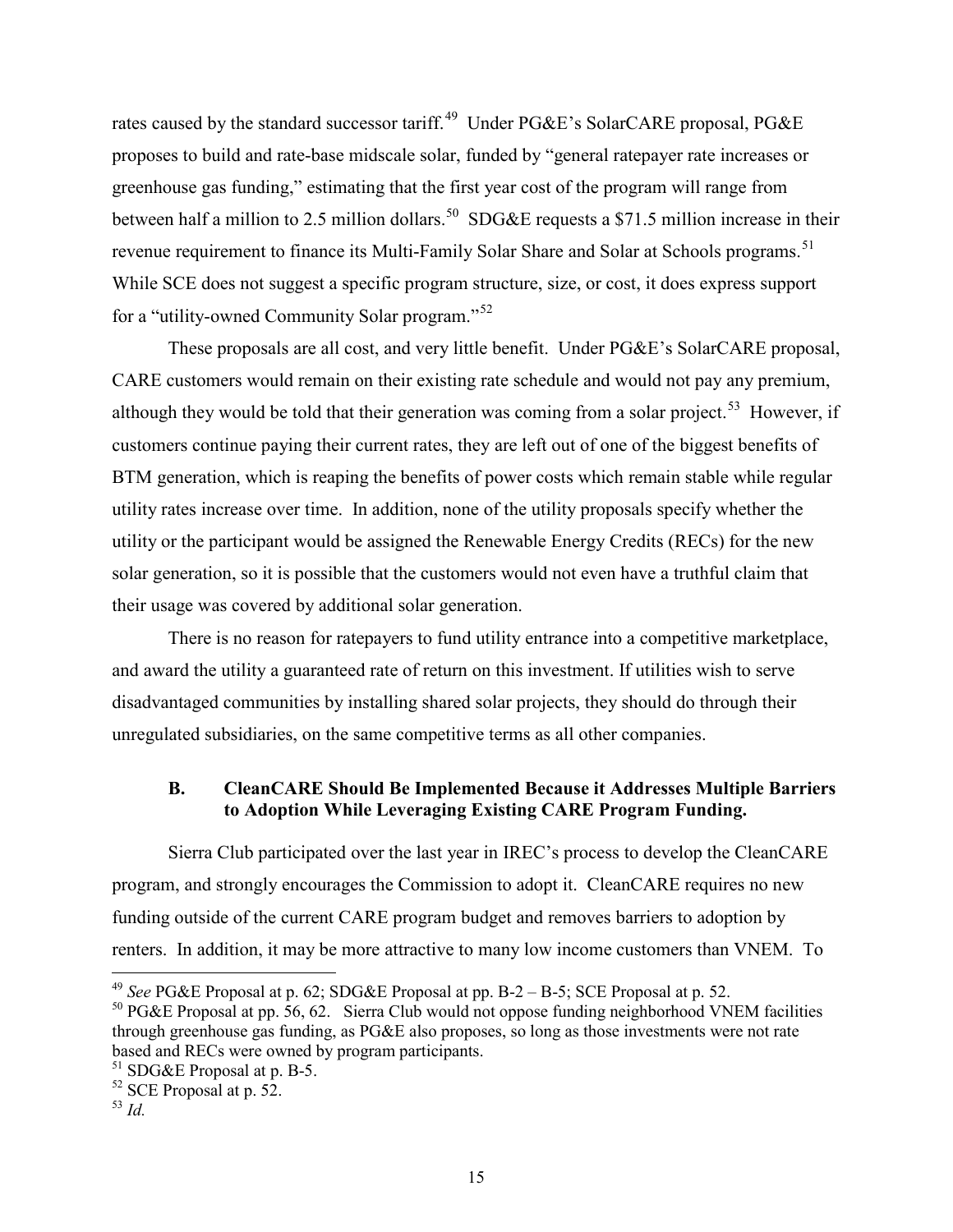rates caused by the standard successor tariff.<sup>[49](#page-15-0)</sup> Under PG&E's SolarCARE proposal, PG&E proposes to build and rate-base midscale solar, funded by "general ratepayer rate increases or greenhouse gas funding," estimating that the first year cost of the program will range from between half a million to 2.5 million dollars.<sup>50</sup> SDG&E requests a \$71.5 million increase in their revenue requirement to finance its Multi-Family Solar Share and Solar at Schools programs.<sup>51</sup> While SCE does not suggest a specific program structure, size, or cost, it does express support for a "utility-owned Community Solar program."[52](#page-15-3)

These proposals are all cost, and very little benefit. Under PG&E's SolarCARE proposal, CARE customers would remain on their existing rate schedule and would not pay any premium, although they would be told that their generation was coming from a solar project.<sup>53</sup> However, if customers continue paying their current rates, they are left out of one of the biggest benefits of BTM generation, which is reaping the benefits of power costs which remain stable while regular utility rates increase over time. In addition, none of the utility proposals specify whether the utility or the participant would be assigned the Renewable Energy Credits (RECs) for the new solar generation, so it is possible that the customers would not even have a truthful claim that their usage was covered by additional solar generation.

There is no reason for ratepayers to fund utility entrance into a competitive marketplace, and award the utility a guaranteed rate of return on this investment. If utilities wish to serve disadvantaged communities by installing shared solar projects, they should do through their unregulated subsidiaries, on the same competitive terms as all other companies.

# **B. CleanCARE Should Be Implemented Because it Addresses Multiple Barriers to Adoption While Leveraging Existing CARE Program Funding.**

Sierra Club participated over the last year in IREC's process to develop the CleanCARE program, and strongly encourages the Commission to adopt it. CleanCARE requires no new funding outside of the current CARE program budget and removes barriers to adoption by renters. In addition, it may be more attractive to many low income customers than VNEM. To

<sup>49</sup> *See* PG&E Proposal at p. 62; SDG&E Proposal at pp. B-2 – B-5; SCE Proposal at p. 52.

<span id="page-15-1"></span><span id="page-15-0"></span><sup>&</sup>lt;sup>50</sup> PG&E Proposal at pp. 56, 62. Sierra Club would not oppose funding neighborhood VNEM facilities through greenhouse gas funding, as PG&E also proposes, so long as those investments were not rate based and RECs were owned by program participants.

<span id="page-15-2"></span><sup>51</sup> SDG&E Proposal at p. B-5.

<span id="page-15-3"></span><sup>52</sup> SCE Proposal at p. 52.

<span id="page-15-4"></span> $53$  *Id.*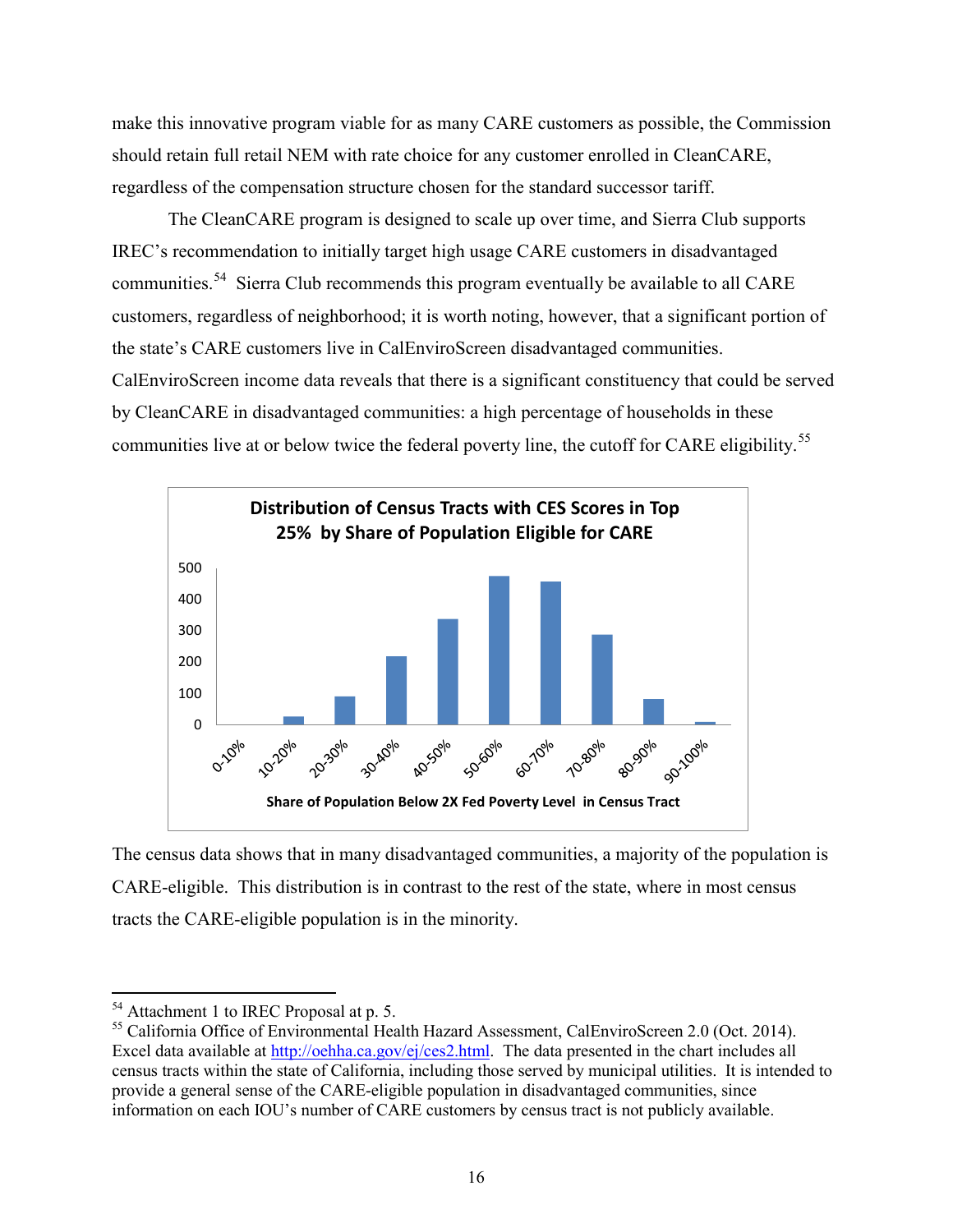make this innovative program viable for as many CARE customers as possible, the Commission should retain full retail NEM with rate choice for any customer enrolled in CleanCARE, regardless of the compensation structure chosen for the standard successor tariff.

The CleanCARE program is designed to scale up over time, and Sierra Club supports IREC's recommendation to initially target high usage CARE customers in disadvantaged communities.[54](#page-16-0) Sierra Club recommends this program eventually be available to all CARE customers, regardless of neighborhood; it is worth noting, however, that a significant portion of the state's CARE customers live in CalEnviroScreen disadvantaged communities. CalEnviroScreen income data reveals that there is a significant constituency that could be served by CleanCARE in disadvantaged communities: a high percentage of households in these communities live at or below twice the federal poverty line, the cutoff for CARE eligibility.<sup>[55](#page-16-1)</sup>



The census data shows that in many disadvantaged communities, a majority of the population is CARE-eligible. This distribution is in contrast to the rest of the state, where in most census tracts the CARE-eligible population is in the minority.

 $\overline{a}$ <sup>54</sup> Attachment 1 to IREC Proposal at p. 5.

<span id="page-16-1"></span><span id="page-16-0"></span><sup>&</sup>lt;sup>55</sup> California Office of Environmental Health Hazard Assessment, CalEnviroScreen 2.0 (Oct. 2014). Excel data available at [http://oehha.ca.gov/ej/ces2.html.](http://oehha.ca.gov/ej/ces2.html) The data presented in the chart includes all census tracts within the state of California, including those served by municipal utilities. It is intended to provide a general sense of the CARE-eligible population in disadvantaged communities, since information on each IOU's number of CARE customers by census tract is not publicly available.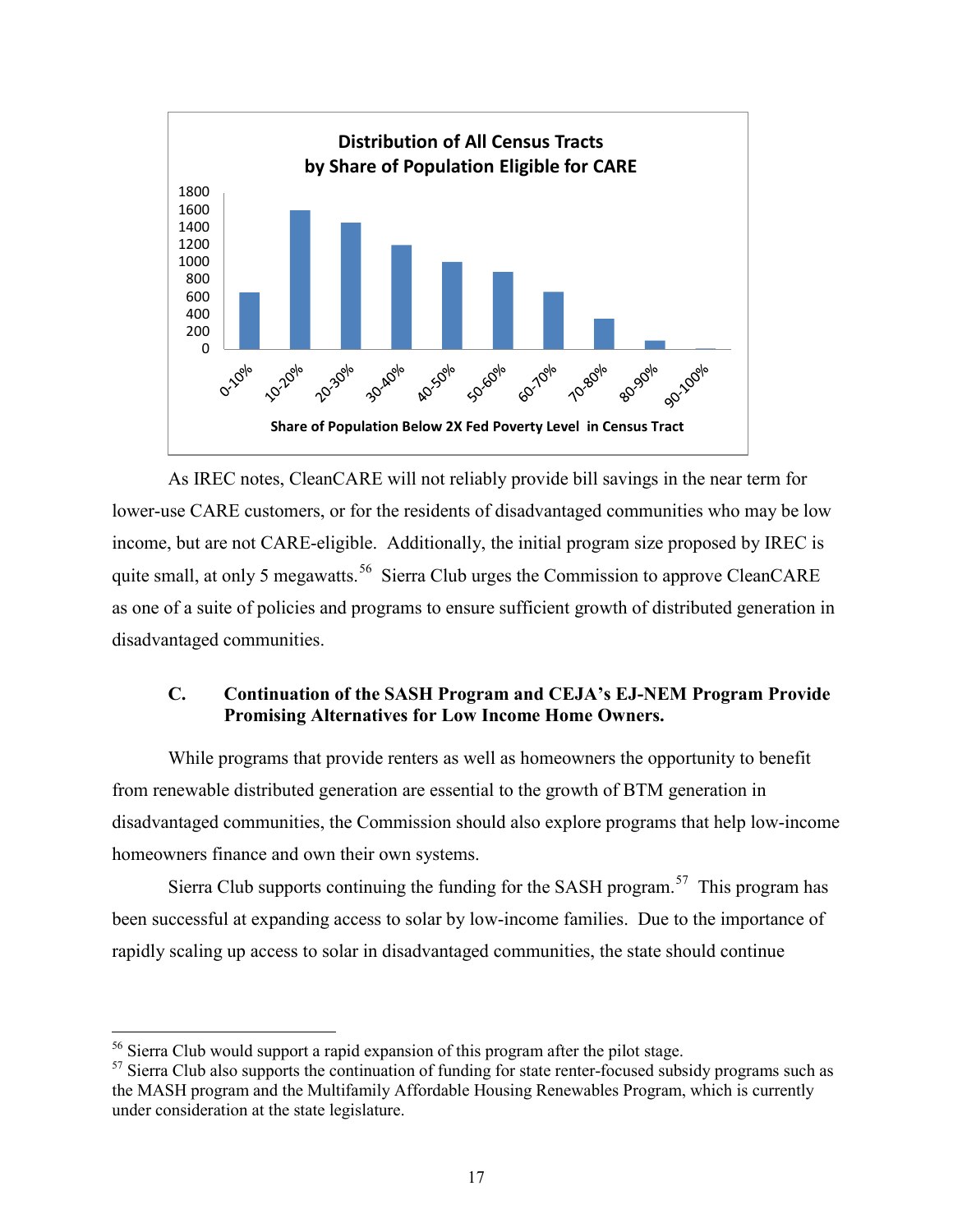

As IREC notes, CleanCARE will not reliably provide bill savings in the near term for lower-use CARE customers, or for the residents of disadvantaged communities who may be low income, but are not CARE-eligible. Additionally, the initial program size proposed by IREC is quite small, at only 5 megawatts.<sup>[56](#page-17-0)</sup> Sierra Club urges the Commission to approve CleanCARE as one of a suite of policies and programs to ensure sufficient growth of distributed generation in disadvantaged communities.

#### **C. Continuation of the SASH Program and CEJA's EJ-NEM Program Provide Promising Alternatives for Low Income Home Owners.**

While programs that provide renters as well as homeowners the opportunity to benefit from renewable distributed generation are essential to the growth of BTM generation in disadvantaged communities, the Commission should also explore programs that help low-income homeowners finance and own their own systems.

Sierra Club supports continuing the funding for the SASH program.<sup>57</sup> This program has been successful at expanding access to solar by low-income families. Due to the importance of rapidly scaling up access to solar in disadvantaged communities, the state should continue

<span id="page-17-0"></span><sup>&</sup>lt;sup>56</sup> Sierra Club would support a rapid expansion of this program after the pilot stage.

<span id="page-17-1"></span><sup>&</sup>lt;sup>57</sup> Sierra Club also supports the continuation of funding for state renter-focused subsidy programs such as the MASH program and the Multifamily Affordable Housing Renewables Program, which is currently under consideration at the state legislature.